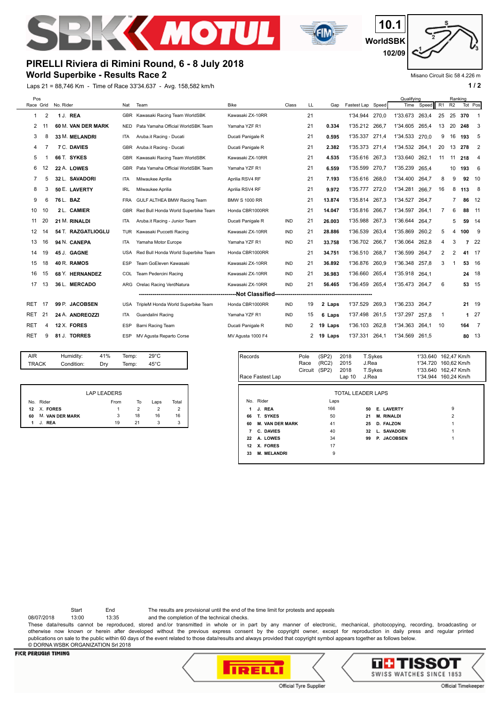



**WorldSBK 10.1 102/09**

### Misano Circuit Sic 58 4.226 m

## **World Superbike - Results Race 2 PIRELLI Riviera di Rimini Round, 6 - 8 July 2018**

Laps 21 = 88,746 Km - Time of Race 33'34.637 - Avg. 158,582 km/h **1 and 2 1 / 2** 

| Pos        |                |                    |            |                                     |                      |            |              |         |                |       | Qualifying |       |    | Ranking        |         |                |
|------------|----------------|--------------------|------------|-------------------------------------|----------------------|------------|--------------|---------|----------------|-------|------------|-------|----|----------------|---------|----------------|
| Race Grid  |                | No. Rider          | Nat        | Team                                | <b>Bike</b>          | Class      | LL           | Gap     | Fastest Lap    | Speed | Time       | Speed | R1 | R <sub>2</sub> | Tot Pos |                |
| 1          | $\overline{2}$ | 1 J. REA           | <b>GBR</b> | Kawasaki Racing Team WorldSBK       | Kawasaki ZX-10RR     |            | 21           |         | 1'34.944       | 270,0 | 1'33.673   | 263.4 | 25 | 25             | 370     | -1             |
| 2          |                | 60 M. VAN DER MARK | <b>NED</b> | Pata Yamaha Official WorldSBK Team  | Yamaha YZF R1        |            | 21           | 0.334   | 1'35.212       | 266.7 | 1'34.605   | 265.4 | 13 | 20             | 248     | 3              |
| 3          | 8              | 33 M. MELANDRI     | <b>ITA</b> | Aruba.it Racing - Ducati            | Ducati Panigale R    |            | 21           | 0.595   | 1'35.337       | 271,4 | 1'34.533   | 270.0 | 9  | 16             | 193     | -5             |
| 4          |                | <b>7 C. DAVIES</b> | GBR        | Aruba.it Racing - Ducati            | Ducati Panigale R    |            | 21           | 2.382   | 1'35.373       | 271.4 | 1'34.532   | 264.1 | 20 | 13             | 278     | $\overline{2}$ |
| 5          |                | 66 T. SYKES        | <b>GBR</b> | Kawasaki Racing Team WorldSBK       | Kawasaki ZX-10RR     |            | 21           | 4.535   | 1'35.616 267.3 |       | 1'33.640   | 262.1 | 11 | 11             | 218     | $\overline{4}$ |
| 6          | 12             | 22 A. LOWES        | <b>GBR</b> | Pata Yamaha Official WorldSBK Team  | Yamaha YZF R1        |            | 21           | 6.559   | 1'35.599       | 270.7 | 1'35.239   | 265.4 |    | 10             | 193     | - 6            |
| 7          | 5              | 32 L. SAVADORI     | ITA        | Milwaukee Aprilia                   | Aprilia RSV4 RF      |            | 21           | 7.193   | 1'35.616       | 268,0 | 1'34.400   | 264.7 | 8  | 9              | 92 10   |                |
| 8          | 3              | 50 E. LAVERTY      | <b>IRL</b> | Milwaukee Aprilia                   | Aprilia RSV4 RF      |            | 21           | 9.972   | 1'35.777       | 272.0 | 1'34.281   | 266.7 | 16 | 8              | 113     | - 8            |
| 9          | 6              | 76 L. BAZ          | <b>FRA</b> | GULF ALTHEA BMW Racing Team         | <b>BMW S 1000 RR</b> |            | 21           | 13.874  | 1'35.814       | 267,3 | 1'34.527   | 264.7 |    | 7              | 86      | -12            |
| 10         | 10             | 2 L. CAMIER        | <b>GBR</b> | Red Bull Honda World Superbike Team | Honda CBR1000RR      |            | 21           | 14.047  | 1'35.816       | 266.7 | 1'34.597   | 264.1 | 7  | 6              | 88      | 11             |
| 11         | 20             | 21 M. RINALDI      | ITA        | Aruba.it Racing - Junior Team       | Ducati Panigale R    | IND        | 21           | 26.003  | 1'35.988       | 267,3 | 1'36.644   | 264.7 |    | 5              | 59      | 14             |
| 12         | 14             | 54 T. RAZGATLIOGLU | <b>TUR</b> | Kawasaki Puccetti Racing            | Kawasaki ZX-10RR     | <b>IND</b> | 21           | 28.886  | 1'36.539       | 263,4 | 1'35.869   | 260,2 | 5  | 4              | 100     | - 9            |
| 13         | 16             | 94 N. CANEPA       | <b>ITA</b> | Yamaha Motor Europe                 | Yamaha YZF R1        | <b>IND</b> | 21           | 33.758  | 1'36.702       | 266.7 | 1'36.064   | 262.8 | 4  | 3              | 7       | 22             |
| 14         | 19             | 45 J. GAGNE        | <b>USA</b> | Red Bull Honda World Superbike Team | Honda CBR1000RR      |            | 21           | 34.751  | 1'36.510       | 268.7 | 1'36.599   | 264.7 | 2  | $\overline{2}$ | 41 17   |                |
| 15         | 18             | 40 R. RAMOS        | <b>ESP</b> | Team GoEleven Kawasaki              | Kawasaki ZX-10RR     | <b>IND</b> | 21           | 36.892  | 1'36.876       | 260.9 | 1'36.348   | 257.8 | 3  |                | 53 16   |                |
| 16         | 15             | 68 Y. HERNANDEZ    | COL        | Team Pedercini Racing               | Kawasaki ZX-10RR     | IND        | 21           | 36.983  | 1'36.660       | 265.4 | 1'35.918   | 264.1 |    |                | 24 18   |                |
| 17         | 13             | 36 L. MERCADO      | ARG        | Orelac Racing VerdNatura            | Kawasaki ZX-10RR     | <b>IND</b> | 21           | 56.465  | 1'36.459 265,4 |       | 1'35.473   | 264.7 | 6  |                | 53 15   |                |
|            |                |                    |            |                                     |                      |            |              |         |                |       |            |       |    |                |         |                |
| RET.       | 17             | 99 P. JACOBSEN     | <b>USA</b> | TripleM Honda World Superbike Team  | Honda CBR1000RR      | IND        | 19           | 2 Laps  | 1'37.529       | 269,3 | 1'36.233   | 264,7 |    |                | 21 19   |                |
| RET        | 21             | 24 A. ANDREOZZI    | ITA        | Guandalini Racing                   | Yamaha YZF R1        | <b>IND</b> | 15           | 6 Laps  | 1'37.498       | 261,5 | 1'37.297   | 257,8 | 1  |                |         | $127$          |
| RET        | 4              | 12 X. FORES        | <b>ESP</b> | Barni Racing Team                   | Ducati Panigale R    | <b>IND</b> | $\mathbf{2}$ | 19 Laps | 1'36.103       | 262,8 | 1'34.363   | 264.1 | 10 |                | $164$ 7 |                |
| <b>RET</b> | 9              | 81 J. TORRES       | <b>ESP</b> | MV Agusta Reparto Corse             | MV Agusta 1000 F4    |            | 2            | 19 Laps | 1'37.331       | 264.1 | 1'34.569   | 261.5 |    |                | 80 13   |                |
|            |                |                    |            |                                     |                      |            |              |         |                |       |            |       |    |                |         |                |

| <b>AIR</b>   | Humidity:  | 41% | Temp: | $29^{\circ}$ C |  |
|--------------|------------|-----|-------|----------------|--|
| <b>TRACK</b> | Condition: | Drv | Temp: | $45^{\circ}$ C |  |
|              |            |     |       |                |  |

|    |                        | <b>LAP LEADERS</b> |    |      |       |
|----|------------------------|--------------------|----|------|-------|
|    | No. Rider              | From               | To | Laps | Total |
|    | 12 X FORES             |                    |    |      |       |
| 60 | <b>M. VAN DER MARK</b> | 3                  | 18 | 16   | 16    |
| 1  | <b>RFA</b>             | 19                 | 21 |      | 3     |

| Records | Race Fastest Lap       | Pole<br>Race<br>Circuit | (SP2)<br>(RC2)<br>(SP2) | 2018<br>2015<br>2018<br>Lap <sub>10</sub> | T.Sykes<br>J.Rea<br>T.Sykes<br>J.Rea |                   | 1'33.640 162,47 Km/h<br>1'34.720 160.62 Km/h<br>1'33.640 162.47 Km/h<br>1'34.944 160,24 Km/h |
|---------|------------------------|-------------------------|-------------------------|-------------------------------------------|--------------------------------------|-------------------|----------------------------------------------------------------------------------------------|
|         |                        |                         |                         | <b>TOTAL LEADER LAPS</b>                  |                                      |                   |                                                                                              |
|         | No. Rider              |                         | Laps                    |                                           |                                      |                   |                                                                                              |
| 1       | J. REA                 |                         | 166                     |                                           | 50                                   | <b>E. LAVERTY</b> | 9                                                                                            |
| 66      | T. SYKES               |                         | 50                      |                                           | 21                                   | <b>M. RINALDI</b> | $\overline{2}$                                                                               |
| 60      | <b>M. VAN DER MARK</b> |                         | 41                      |                                           | 25                                   | D. FALZON         |                                                                                              |
| 7       | C. DAVIES              |                         | 40                      |                                           | 32                                   | L. SAVADORI       |                                                                                              |
| 22      | A. LOWES               |                         | 34                      |                                           | 99                                   | P. JACOBSEN       |                                                                                              |
| 12      | X. FORES               |                         | 17                      |                                           |                                      |                   |                                                                                              |
| 33      | <b>M. MELANDRI</b>     |                         | 9                       |                                           |                                      |                   |                                                                                              |

Start End The results are provisional until the end of the time limit for protests and appeals

08/07/2018 13:00 13:35 and the completion of the technical checks.

These data/results cannot be reproduced, stored and/or transmitted in whole or in part by any manner of electronic, mechanical, photocopying, recording, broadcasting or otherwise now known or herein after developed without the previous express consent by the copyright owner, except for reproduction in daily press and regular printed publications on sale to the public within 60 days of the event related to those data/results and always provided that copyright symbol appears together as follows below. © DORNA WSBK ORGANIZATION Srl 2018

### **FICR PERUGIA TIMING**